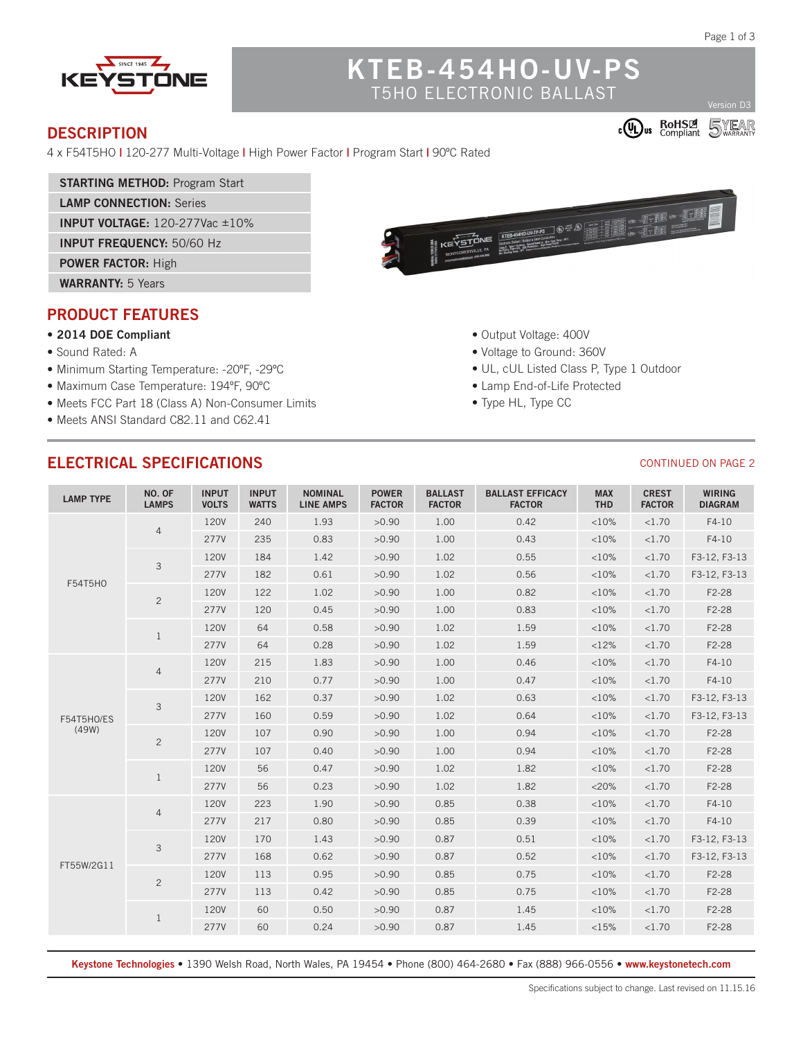$\overline{5}$ 

**COU BOHSE** 

CONTINUED ON PAGE 2



# **KTEB-454HO-UV-PS** T5HO ELECTRONIC BALLAST

#### **DESCRIPTION**

4 x F54T5HO **|** 120-277 Multi-Voltage **|** High Power Factor **|** Program Start **|** 90ºC Rated

- **STARTING METHOD:** Program Start
- **LAMP CONNECTION:** Series

**INPUT VOLTAGE:** 120-277Vac ±10%

**INPUT FREQUENCY:** 50/60 Hz

**POWER FACTOR:** High

**WARRANTY:** 5 Years

## **PRODUCT FEATURES**

#### **• 2014 DOE Compliant**

- Sound Rated: A
- Minimum Starting Temperature: -20ºF, -29ºC
- Maximum Case Temperature: 194ºF, 90ºC
- Meets FCC Part 18 (Class A) Non-Consumer Limits
- Meets ANSI Standard C82.11 and C62.41



- Output Voltage: 400V
- Voltage to Ground: 360V
- UL, cUL Listed Class P, Type 1 Outdoor
- Lamp End-of-Life Protected
- Type HL, Type CC

# **ELECTRICAL SPECIFICATIONS**

| <b>LAMP TYPE</b>    | NO. OF<br><b>LAMPS</b> | <b>INPUT</b><br><b>VOLTS</b> | <b>INPUT</b><br><b>WATTS</b> | <b>NOMINAL</b><br><b>LINE AMPS</b> | <b>POWER</b><br><b>FACTOR</b> | <b>BALLAST</b><br><b>FACTOR</b> | <b>BALLAST EFFICACY</b><br><b>FACTOR</b> | <b>MAX</b><br><b>THD</b> | <b>CREST</b><br><b>FACTOR</b> | <b>WIRING</b><br><b>DIAGRAM</b> |
|---------------------|------------------------|------------------------------|------------------------------|------------------------------------|-------------------------------|---------------------------------|------------------------------------------|--------------------------|-------------------------------|---------------------------------|
| F54T5HO             | $\overline{4}$         | <b>120V</b>                  | 240                          | 1.93                               | >0.90                         | 1.00                            | 0.42                                     | <10%                     | < 1.70                        | $F4-10$                         |
|                     |                        | 277V                         | 235                          | 0.83                               | >0.90                         | 1.00                            | 0.43                                     | <10%                     | < 1.70                        | $F4-10$                         |
|                     | $\mathbf{3}$           | <b>120V</b>                  | 184                          | 1.42                               | >0.90                         | 1.02                            | 0.55                                     | <10%                     | < 1.70                        | F3-12, F3-13                    |
|                     |                        | 277V                         | 182                          | 0.61                               | >0.90                         | 1.02                            | 0.56                                     | <10%                     | < 1.70                        | F3-12, F3-13                    |
|                     | $\overline{c}$         | <b>120V</b>                  | 122                          | 1.02                               | >0.90                         | 1.00                            | 0.82                                     | <10%                     | <1.70                         | F2-28                           |
|                     |                        | 277V                         | 120                          | 0.45                               | >0.90                         | 1.00                            | 0.83                                     | <10%                     | <1.70                         | F2-28                           |
|                     | $\mathbf{1}$           | <b>120V</b>                  | 64                           | 0.58                               | >0.90                         | 1.02                            | 1.59                                     | <10%                     | <1.70                         | F2-28                           |
|                     |                        | 277V                         | 64                           | 0.28                               | >0.90                         | 1.02                            | 1.59                                     | <12%                     | <1.70                         | F2-28                           |
| F54T5HO/ES<br>(49W) | $\overline{4}$         | <b>120V</b>                  | 215                          | 1.83                               | >0.90                         | 1.00                            | 0.46                                     | <10%                     | <1.70                         | $F4-10$                         |
|                     |                        | 277V                         | 210                          | 0.77                               | >0.90                         | 1.00                            | 0.47                                     | <10%                     | <1.70                         | $F4-10$                         |
|                     | $\mathfrak{Z}$         | <b>120V</b>                  | 162                          | 0.37                               | >0.90                         | 1.02                            | 0.63                                     | <10%                     | < 1.70                        | F3-12, F3-13                    |
|                     |                        | 277V                         | 160                          | 0.59                               | >0.90                         | 1.02                            | 0.64                                     | <10%                     | <1.70                         | F3-12, F3-13                    |
|                     | $\overline{c}$         | <b>120V</b>                  | 107                          | 0.90                               | >0.90                         | 1.00                            | 0.94                                     | <10%                     | <1.70                         | F2-28                           |
|                     |                        | 277V                         | 107                          | 0.40                               | >0.90                         | 1.00                            | 0.94                                     | <10%                     | <1.70                         | F2-28                           |
|                     | $\mathbf{1}$           | <b>120V</b>                  | 56                           | 0.47                               | >0.90                         | 1.02                            | 1.82                                     | <10%                     | <1.70                         | F2-28                           |
|                     |                        | 277V                         | 56                           | 0.23                               | >0.90                         | 1.02                            | 1.82                                     | $<$ 20%                  | <1.70                         | F2-28                           |
| FT55W/2G11          | $\overline{4}$         | <b>120V</b>                  | 223                          | 1.90                               | >0.90                         | 0.85                            | 0.38                                     | <10%                     | <1.70                         | $F4-10$                         |
|                     |                        | 277V                         | 217                          | 0.80                               | >0.90                         | 0.85                            | 0.39                                     | <10%                     | <1.70                         | $F4-10$                         |
|                     | $\mathsf 3$            | <b>120V</b>                  | 170                          | 1.43                               | >0.90                         | 0.87                            | 0.51                                     | <10%                     | <1.70                         | F3-12, F3-13                    |
|                     |                        | 277V                         | 168                          | 0.62                               | >0.90                         | 0.87                            | 0.52                                     | <10%                     | <1.70                         | F3-12, F3-13                    |
|                     | $\overline{c}$         | <b>120V</b>                  | 113                          | 0.95                               | >0.90                         | 0.85                            | 0.75                                     | <10%                     | <1.70                         | F2-28                           |
|                     |                        | 277V                         | 113                          | 0.42                               | >0.90                         | 0.85                            | 0.75                                     | <10%                     | <1.70                         | F2-28                           |
|                     | $\mathbf{1}$           | <b>120V</b>                  | 60                           | 0.50                               | >0.90                         | 0.87                            | 1.45                                     | <10%                     | <1.70                         | F2-28                           |
|                     |                        | 277V                         | 60                           | 0.24                               | >0.90                         | 0.87                            | 1.45                                     | <15%                     | <1.70                         | F2-28                           |

**Keystone Technologies •** 1390 Welsh Road, North Wales, PA 19454 **•** Phone (800) 464-2680 **•** Fax (888) 966-0556 • **www.keystonetech.com**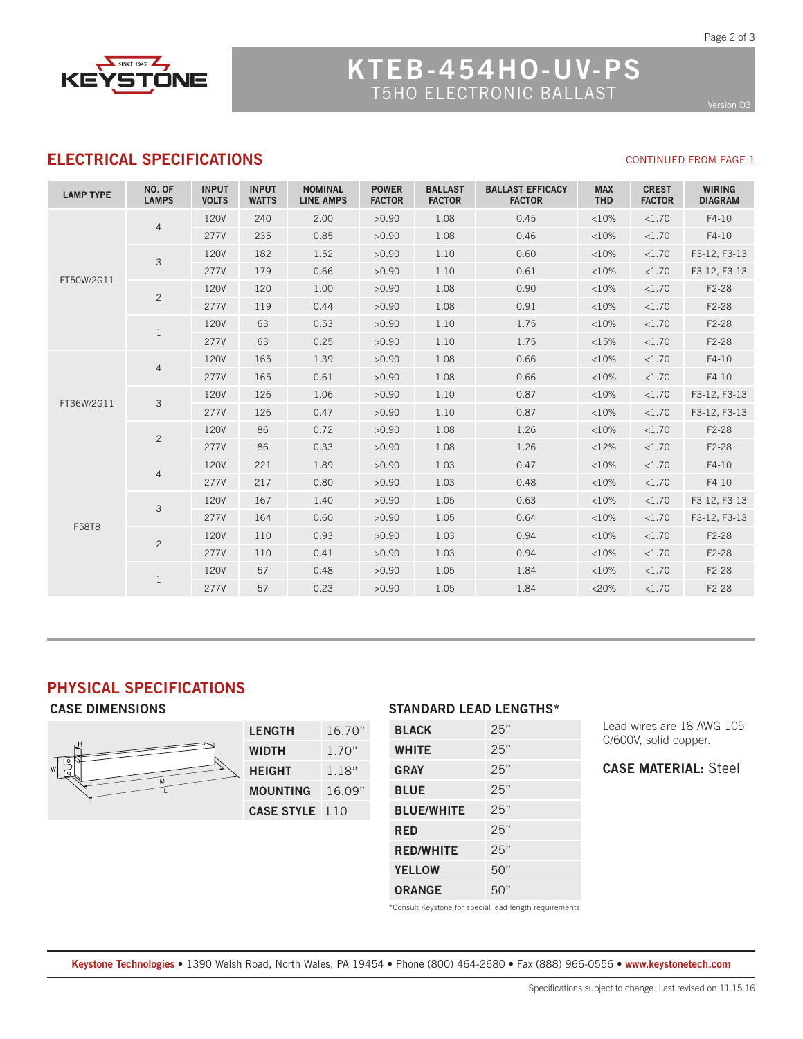

# **KTEB-454HO-UV-PS** T5HO ELECTRONIC BALLAST

CONTINUED FROM PAGE 1

## **ELECTRICAL SPECIFICATIONS**

| <b>LAMP TYPE</b> | NO. OF<br><b>LAMPS</b> | <b>INPUT</b><br><b>VOLTS</b> | <b>INPUT</b><br><b>WATTS</b> | <b>NOMINAL</b><br><b>LINE AMPS</b> | <b>POWER</b><br><b>FACTOR</b> | <b>BALLAST</b><br><b>FACTOR</b> | <b>BALLAST EFFICACY</b><br><b>FACTOR</b> | <b>MAX</b><br><b>THD</b> | <b>CREST</b><br><b>FACTOR</b> | <b>WIRING</b><br><b>DIAGRAM</b> |
|------------------|------------------------|------------------------------|------------------------------|------------------------------------|-------------------------------|---------------------------------|------------------------------------------|--------------------------|-------------------------------|---------------------------------|
| FT50W/2G11       | $\overline{4}$         | <b>120V</b>                  | 240                          | 2.00                               | >0.90                         | 1.08                            | 0.45                                     | <10%                     | <1.70                         | $F4-10$                         |
|                  |                        | 277V                         | 235                          | 0.85                               | >0.90                         | 1.08                            | 0.46                                     | <10%                     | <1.70                         | $F4-10$                         |
|                  | 3                      | <b>120V</b>                  | 182                          | 1.52                               | >0.90                         | 1.10                            | 0.60                                     | <10%                     | <1.70                         | F3-12, F3-13                    |
|                  |                        | 277V                         | 179                          | 0.66                               | >0.90                         | 1.10                            | 0.61                                     | <10%                     | <1.70                         | F3-12, F3-13                    |
|                  | $\overline{2}$         | <b>120V</b>                  | 120                          | 1.00                               | >0.90                         | 1.08                            | 0.90                                     | <10%                     | <1.70                         | F2-28                           |
|                  |                        | <b>277V</b>                  | 119                          | 0.44                               | >0.90                         | 1.08                            | 0.91                                     | <10%                     | <1.70                         | F2-28                           |
|                  | $\mathbf{1}$           | 120V                         | 63                           | 0.53                               | >0.90                         | 1.10                            | 1.75                                     | <10%                     | <1.70                         | F2-28                           |
|                  |                        | <b>277V</b>                  | 63                           | 0.25                               | >0.90                         | 1.10                            | 1.75                                     | <15%                     | <1.70                         | F2-28                           |
| FT36W/2G11       | $\overline{4}$         | <b>120V</b>                  | 165                          | 1.39                               | >0.90                         | 1.08                            | 0.66                                     | <10%                     | <1.70                         | $F4-10$                         |
|                  |                        | <b>277V</b>                  | 165                          | 0.61                               | >0.90                         | 1.08                            | 0.66                                     | <10%                     | <1.70                         | $F4-10$                         |
|                  | 3                      | <b>120V</b>                  | 126                          | 1.06                               | >0.90                         | 1.10                            | 0.87                                     | <10%                     | <1.70                         | F3-12, F3-13                    |
|                  |                        | <b>277V</b>                  | 126                          | 0.47                               | >0.90                         | 1.10                            | 0.87                                     | <10%                     | <1.70                         | F3-12, F3-13                    |
|                  | $\overline{c}$         | <b>120V</b>                  | 86                           | 0.72                               | >0.90                         | 1.08                            | 1.26                                     | <10%                     | <1.70                         | F2-28                           |
|                  |                        | 277V                         | 86                           | 0.33                               | >0.90                         | 1.08                            | 1.26                                     | <12%                     | <1.70                         | F2-28                           |
| F58T8            | $\overline{4}$         | <b>120V</b>                  | 221                          | 1.89                               | >0.90                         | 1.03                            | 0.47                                     | <10%                     | < 1.70                        | $F4-10$                         |
|                  |                        | <b>277V</b>                  | 217                          | 0.80                               | >0.90                         | 1.03                            | 0.48                                     | <10%                     | < 1.70                        | $F4-10$                         |
|                  | 3                      | <b>120V</b>                  | 167                          | 1.40                               | >0.90                         | 1.05                            | 0.63                                     | <10%                     | <1.70                         | F3-12, F3-13                    |
|                  |                        | <b>277V</b>                  | 164                          | 0.60                               | >0.90                         | 1.05                            | 0.64                                     | <10%                     | <1.70                         | F3-12, F3-13                    |
|                  | $\overline{c}$         | <b>120V</b>                  | 110                          | 0.93                               | >0.90                         | 1.03                            | 0.94                                     | <10%                     | <1.70                         | F2-28                           |
|                  |                        | 277V                         | 110                          | 0.41                               | >0.90                         | 1.03                            | 0.94                                     | <10%                     | < 1.70                        | F2-28                           |
|                  | 1                      | <b>120V</b>                  | 57                           | 0.48                               | >0.90                         | 1.05                            | 1.84                                     | <10%                     | <1.70                         | F2-28                           |
|                  |                        | 277V                         | 57                           | 0.23                               | >0.90                         | 1.05                            | 1.84                                     | $<20\%$                  | <1.70                         | F2-28                           |

## **PHYSICAL SPECIFICATIONS**



#### **CASE DIMENSIONS STANDARD LEAD LENGTHS\***

| <b>BLACK</b>      | 25" |
|-------------------|-----|
| <b>WHITE</b>      | 25" |
| <b>GRAY</b>       | 25" |
| <b>BLUE</b>       | 25" |
| <b>BLUE/WHITE</b> | 25" |
| <b>RED</b>        | 25" |
| <b>RED/WHITE</b>  | 25" |
| <b>YELLOW</b>     | 50" |
| <b>ORANGE</b>     | 50" |
|                   |     |

Lead wires are 18 AWG 105 C/600V, solid copper.

**CASE MATERIAL:** Steel

\*Consult Keystone for special lead length requirements.